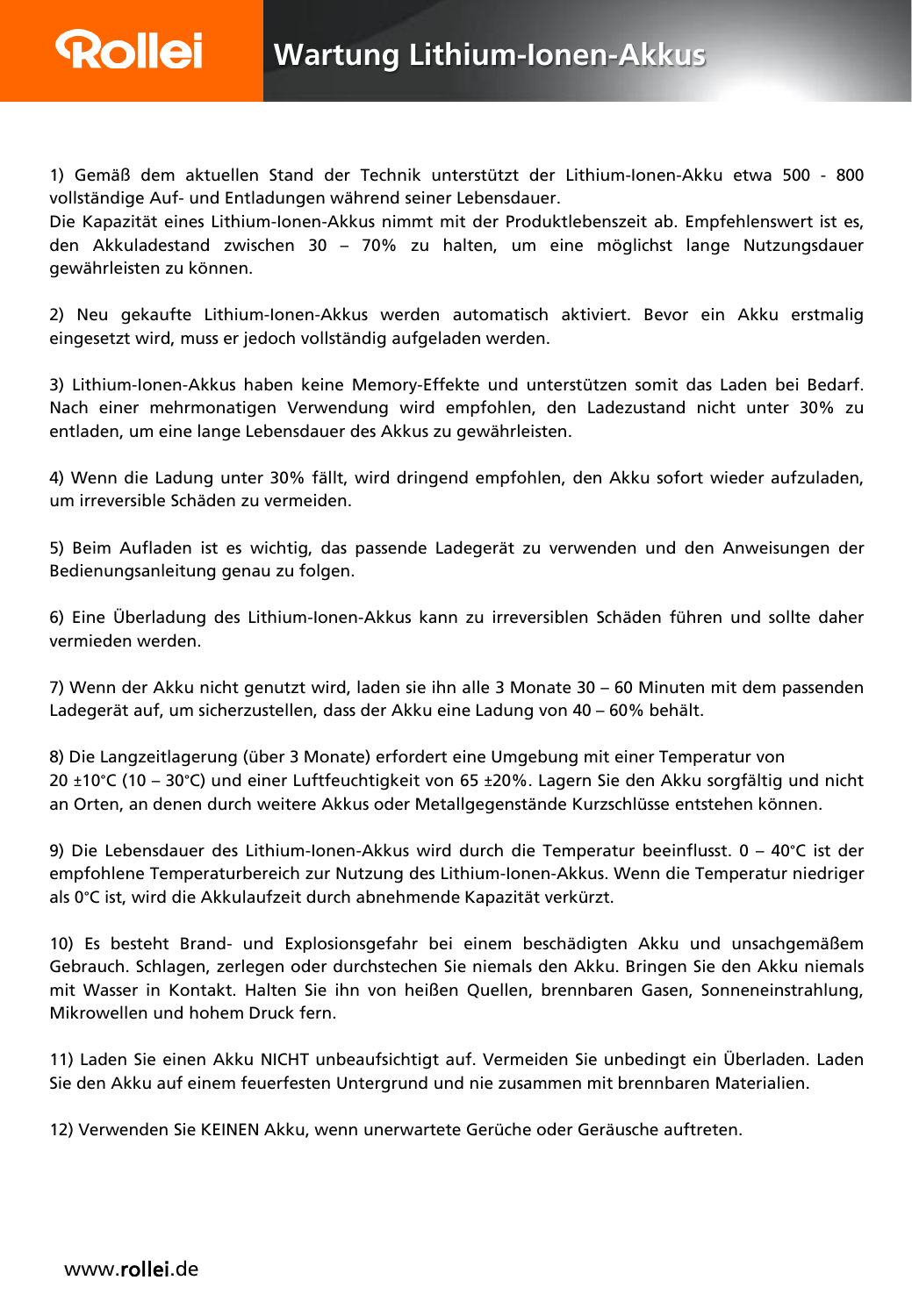1) Gemäß dem aktuellen Stand der Technik unterstützt der Lithium-Ionen-Akku etwa 500 - 800 vollständige Auf- und Entladungen während seiner Lebensdauer.

Die Kapazität eines Lithium-Ionen-Akkus nimmt mit der Produktlebenszeit ab. Empfehlenswert ist es, den Akkuladestand zwischen 30 – 70% zu halten, um eine möglichst lange Nutzungsdauer gewährleisten zu können.

2) Neu gekaufte Lithium-Ionen-Akkus werden automatisch aktiviert. Bevor ein Akku erstmalig eingesetzt wird, muss er jedoch vollständig aufgeladen werden.

3) Lithium-Ionen-Akkus haben keine Memory-Effekte und unterstützen somit das Laden bei Bedarf. Nach einer mehrmonatigen Verwendung wird empfohlen, den Ladezustand nicht unter 30% zu entladen, um eine lange Lebensdauer des Akkus zu gewährleisten.

4) Wenn die Ladung unter 30% fällt, wird dringend empfohlen, den Akku sofort wieder aufzuladen, um irreversible Schäden zu vermeiden.

5) Beim Aufladen ist es wichtig, das passende Ladegerät zu verwenden und den Anweisungen der Bedienungsanleitung genau zu folgen.

6) Eine Überladung des Lithium-Ionen-Akkus kann zu irreversiblen Schäden führen und sollte daher vermieden werden.

7) Wenn der Akku nicht genutzt wird, laden sie ihn alle 3 Monate 30 – 60 Minuten mit dem passenden Ladegerät auf, um sicherzustellen, dass der Akku eine Ladung von 40 – 60% behält.

8) Die Langzeitlagerung (über 3 Monate) erfordert eine Umgebung mit einer Temperatur von 20 ±10°C (10 – 30°C) und einer Luftfeuchtigkeit von 65 ±20%. Lagern Sie den Akku sorgfältig und nicht an Orten, an denen durch weitere Akkus oder Metallgegenstände Kurzschlüsse entstehen können.

9) Die Lebensdauer des Lithium-Ionen-Akkus wird durch die Temperatur beeinflusst. 0 – 40°C ist der empfohlene Temperaturbereich zur Nutzung des Lithium-Ionen-Akkus. Wenn die Temperatur niedriger als 0°C ist, wird die Akkulaufzeit durch abnehmende Kapazität verkürzt.

10) Es besteht Brand- und Explosionsgefahr bei einem beschädigten Akku und unsachgemäßem Gebrauch. Schlagen, zerlegen oder durchstechen Sie niemals den Akku. Bringen Sie den Akku niemals mit Wasser in Kontakt. Halten Sie ihn von heißen Quellen, brennbaren Gasen, Sonneneinstrahlung, Mikrowellen und hohem Druck fern.

11) Laden Sie einen Akku NICHT unbeaufsichtigt auf. Vermeiden Sie unbedingt ein Überladen. Laden Sie den Akku auf einem feuerfesten Untergrund und nie zusammen mit brennbaren Materialien.

12) Verwenden Sie KEINEN Akku, wenn unerwartete Gerüche oder Geräusche auftreten.